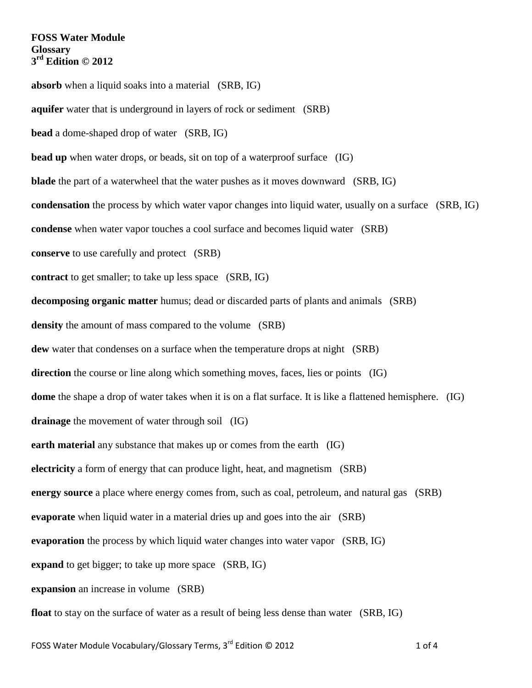**absorb** when a liquid soaks into a material (SRB, IG) **aquifer** water that is underground in layers of rock or sediment (SRB) **bead** a dome-shaped drop of water (SRB, IG) **bead up** when water drops, or beads, sit on top of a waterproof surface (IG) **blade** the part of a waterwheel that the water pushes as it moves downward (SRB, IG) **condensation** the process by which water vapor changes into liquid water, usually on a surface (SRB, IG) **condense** when water vapor touches a cool surface and becomes liquid water (SRB) **conserve** to use carefully and protect (SRB) **contract** to get smaller; to take up less space (SRB, IG) **decomposing organic matter** humus; dead or discarded parts of plants and animals (SRB) **density** the amount of mass compared to the volume (SRB) **dew** water that condenses on a surface when the temperature drops at night (SRB) **direction** the course or line along which something moves, faces, lies or points (IG) **dome** the shape a drop of water takes when it is on a flat surface. It is like a flattened hemisphere. (IG) **drainage** the movement of water through soil (IG) **earth material** any substance that makes up or comes from the earth (IG) **electricity** a form of energy that can produce light, heat, and magnetism (SRB) **energy source** a place where energy comes from, such as coal, petroleum, and natural gas (SRB) **evaporate** when liquid water in a material dries up and goes into the air (SRB) **evaporation** the process by which liquid water changes into water vapor (SRB, IG) **expand** to get bigger; to take up more space (SRB, IG) **expansion** an increase in volume (SRB) **float** to stay on the surface of water as a result of being less dense than water (SRB, IG)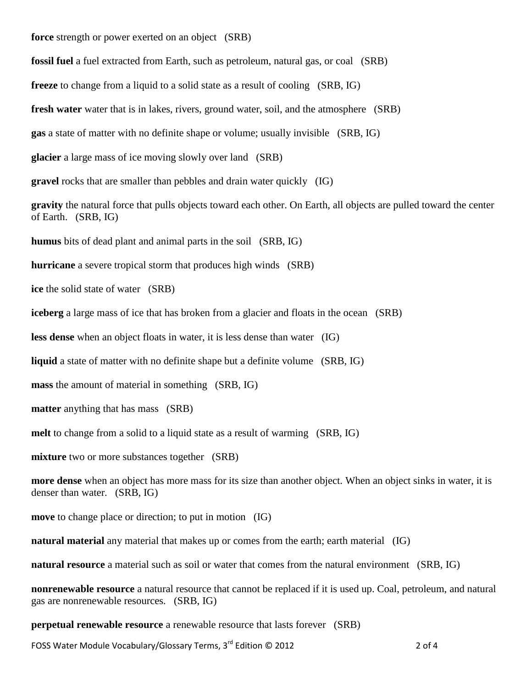**force** strength or power exerted on an object (SRB)

**fossil fuel** a fuel extracted from Earth, such as petroleum, natural gas, or coal (SRB)

**freeze** to change from a liquid to a solid state as a result of cooling (SRB, IG)

**fresh water** water that is in lakes, rivers, ground water, soil, and the atmosphere (SRB)

**gas** a state of matter with no definite shape or volume; usually invisible (SRB, IG)

**glacier** a large mass of ice moving slowly over land (SRB)

**gravel** rocks that are smaller than pebbles and drain water quickly (IG)

**gravity** the natural force that pulls objects toward each other. On Earth, all objects are pulled toward the center of Earth. (SRB, IG)

**humus** bits of dead plant and animal parts in the soil (SRB, IG)

**hurricane** a severe tropical storm that produces high winds (SRB)

**ice** the solid state of water (SRB)

**iceberg** a large mass of ice that has broken from a glacier and floats in the ocean (SRB)

**less dense** when an object floats in water, it is less dense than water (IG)

**liquid** a state of matter with no definite shape but a definite volume (SRB, IG)

**mass** the amount of material in something (SRB, IG)

**matter** anything that has mass (SRB)

**melt** to change from a solid to a liquid state as a result of warming (SRB, IG)

**mixture** two or more substances together (SRB)

**more dense** when an object has more mass for its size than another object. When an object sinks in water, it is denser than water. (SRB, IG)

**move** to change place or direction; to put in motion (IG)

**natural material** any material that makes up or comes from the earth; earth material (IG)

**natural resource** a material such as soil or water that comes from the natural environment (SRB, IG)

**nonrenewable resource** a natural resource that cannot be replaced if it is used up. Coal, petroleum, and natural gas are nonrenewable resources. (SRB, IG)

**perpetual renewable resource** a renewable resource that lasts forever (SRB)

FOSS Water Module Vocabulary/Glossary Terms, 3<sup>rd</sup> Edition © 2012 2 2 2 2 2 2 2 2 2 2 1 A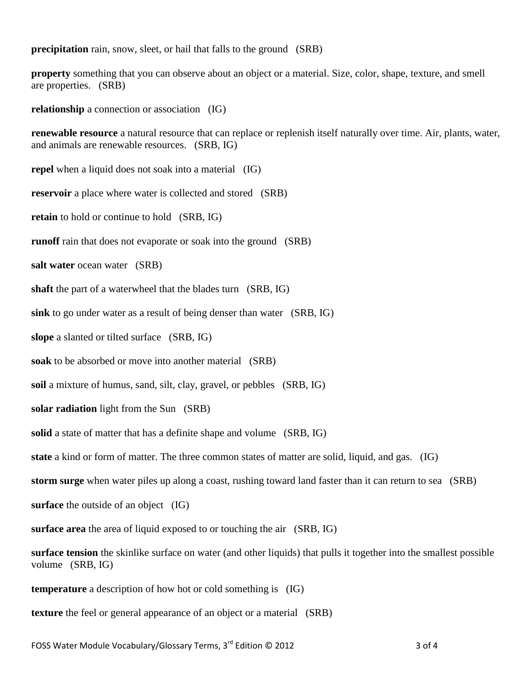**precipitation** rain, snow, sleet, or hail that falls to the ground (SRB)

**property** something that you can observe about an object or a material. Size, color, shape, texture, and smell are properties. (SRB)

**relationship** a connection or association (IG)

**renewable resource** a natural resource that can replace or replenish itself naturally over time. Air, plants, water, and animals are renewable resources. (SRB, IG)

**repel** when a liquid does not soak into a material (IG)

**reservoir** a place where water is collected and stored (SRB)

**retain** to hold or continue to hold (SRB, IG)

**runoff** rain that does not evaporate or soak into the ground (SRB)

**salt water** ocean water (SRB)

**shaft** the part of a waterwheel that the blades turn (SRB, IG)

**sink** to go under water as a result of being denser than water (SRB, IG)

**slope** a slanted or tilted surface (SRB, IG)

**soak** to be absorbed or move into another material (SRB)

**soil** a mixture of humus, sand, silt, clay, gravel, or pebbles (SRB, IG)

**solar radiation** light from the Sun (SRB)

**solid** a state of matter that has a definite shape and volume (SRB, IG)

**state** a kind or form of matter. The three common states of matter are solid, liquid, and gas. (IG)

**storm surge** when water piles up along a coast, rushing toward land faster than it can return to sea (SRB)

**surface** the outside of an object (IG)

**surface area** the area of liquid exposed to or touching the air (SRB, IG)

**surface tension** the skinlike surface on water (and other liquids) that pulls it together into the smallest possible volume (SRB, IG)

**temperature** a description of how hot or cold something is (IG)

**texture** the feel or general appearance of an object or a material (SRB)